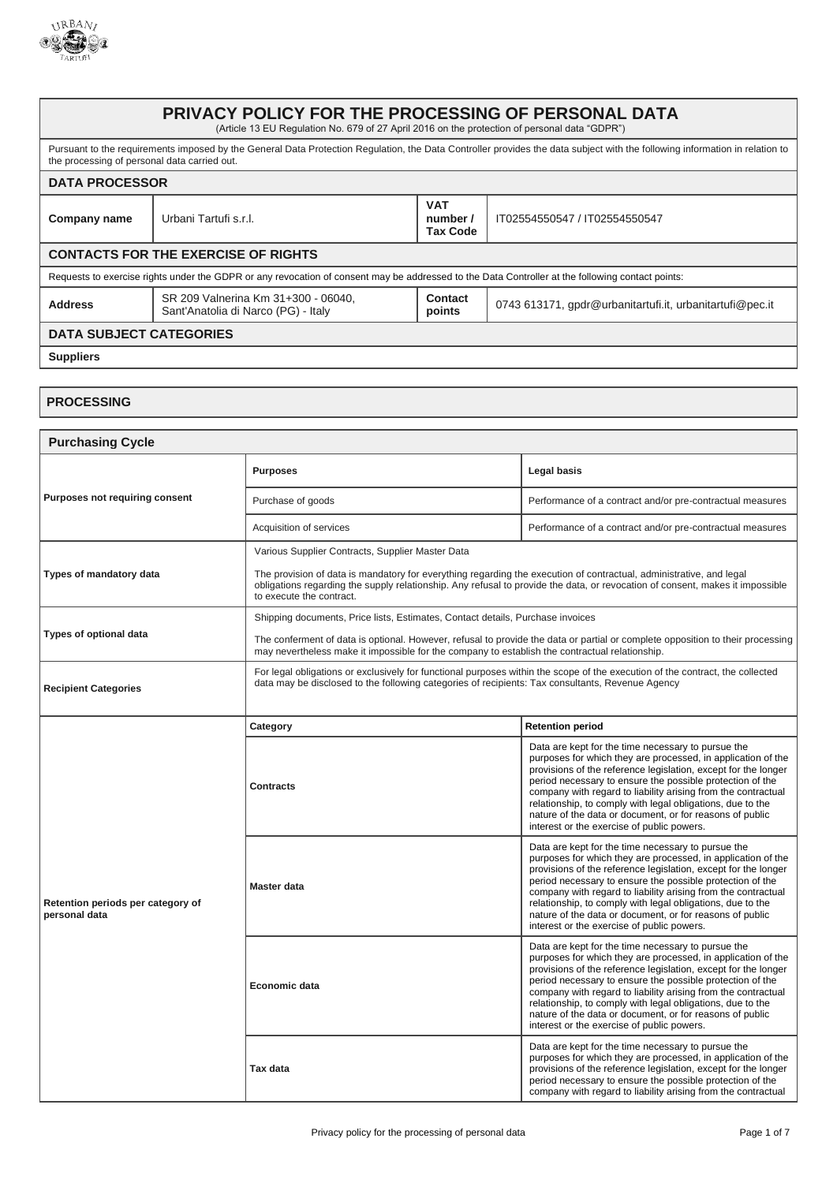

## **PRIVACY POLICY FOR THE PROCESSING OF PERSONAL DATA** (Article 13 EU Regulation No. 679 of 27 April 2016 on the protection of personal data "GDPR") Pursuant to the requirements imposed by the General Data Protection Regulation, the Data Controller provides the data subject with the following information in relation to the processing of personal data carried out. **DATA PROCESSOR Company name** Urbani Tartufi s.r.l. **VAT number / Tax Code** IT02554550547 / IT02554550547 **CONTACTS FOR THE EXERCISE OF RIGHTS** Requests to exercise rights under the GDPR or any revocation of consent may be addressed to the Data Controller at the following contact points: **Address** SR 209 Valnerina Km 31+300 - 06040, Sant'Anatolia di Narco (PG) - Italy **Contact boints** | 0743 613171, gpdr@urbanitartufi.it, urbanitartufi@pec.it **DATA SUBJECT CATEGORIES Suppliers PROCESSING**

## **Purchasing Cycle Purposes not requiring consent Purposes Legal basis** Purchase of goods **Performance of a contract and/or pre-contractual measures** Acquisition of services **Performance of a contract and/or pre-contractual measures Types of mandatory data** Various Supplier Contracts, Supplier Master Data The provision of data is mandatory for everything regarding the execution of contractual, administrative, and legal obligations regarding the supply relationship. Any refusal to provide the data, or revocation of consent, makes it impossible to execute the contract. **Types of optional data** Shipping documents, Price lists, Estimates, Contact details, Purchase invoices The conferment of data is optional. However, refusal to provide the data or partial or complete opposition to their processing may nevertheless make it impossible for the company to establish the contractual relationship. **Recipient Categories** For legal obligations or exclusively for functional purposes within the scope of the execution of the contract, the collected data may be disclosed to the following categories of recipients: Tax consultants, Revenue Agency **Retention periods per category of personal data Category Retention period Contracts** Data are kept for the time necessary to pursue the purposes for which they are processed, in application of the provisions of the reference legislation, except for the longer period necessary to ensure the possible protection of the company with regard to liability arising from the contractual relationship, to comply with legal obligations, due to the nature of the data or document, or for reasons of public interest or the exercise of public powers. **Master data** Data are kept for the time necessary to pursue the purposes for which they are processed, in application of the provisions of the reference legislation, except for the longer period necessary to ensure the possible protection of the company with regard to liability arising from the contractual relationship, to comply with legal obligations, due to the nature of the data or document, or for reasons of public interest or the exercise of public powers. **Economic data** Data are kept for the time necessary to pursue the purposes for which they are processed, in application of the provisions of the reference legislation, except for the longer period necessary to ensure the possible protection of the company with regard to liability arising from the contractual relationship, to comply with legal obligations, due to the nature of the data or document, or for reasons of public interest or the exercise of public powers. **Tax data** Data are kept for the time necessary to pursue the purposes for which they are processed, in application of the provisions of the reference legislation, except for the longer period necessary to ensure the possible protection of the company with regard to liability arising from the contractual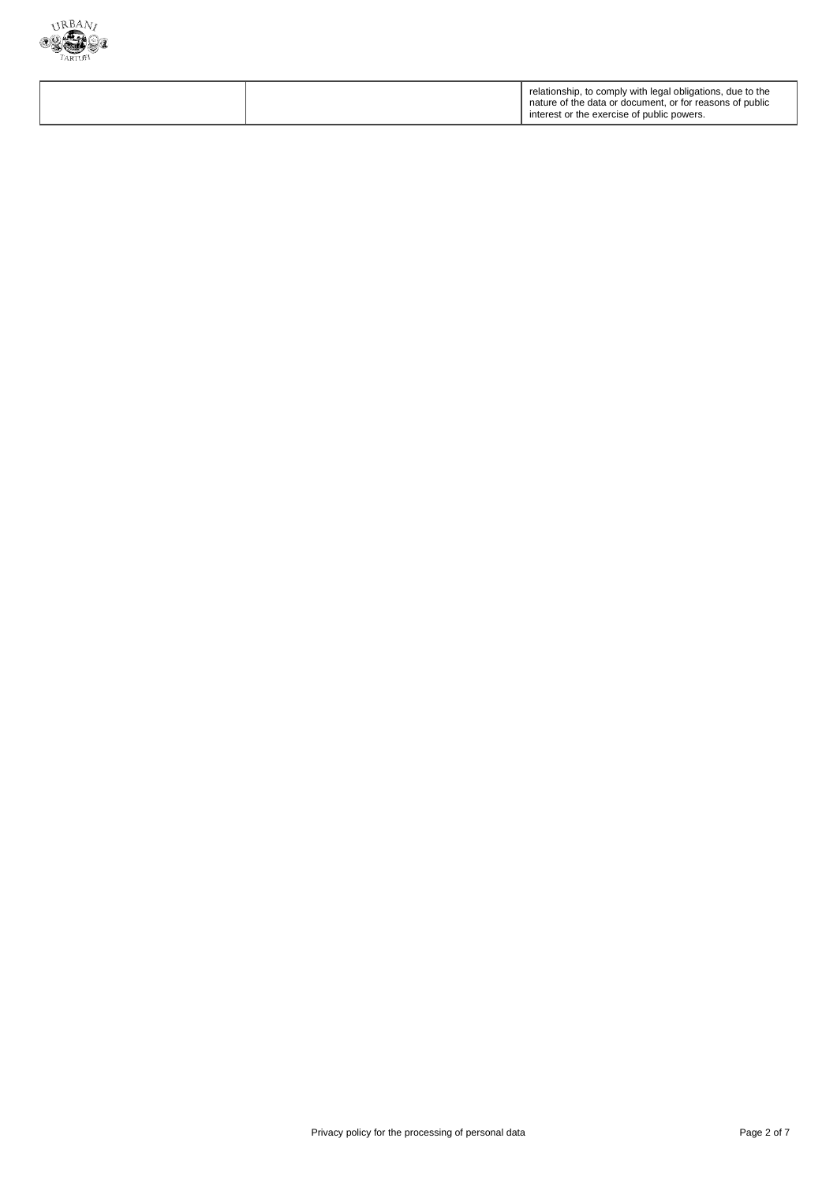

|  |  | relationship, to comply with legal obligations, due to the<br>nature of the data or document, or for reasons of public<br>interest or the exercise of public powers. |
|--|--|----------------------------------------------------------------------------------------------------------------------------------------------------------------------|
|--|--|----------------------------------------------------------------------------------------------------------------------------------------------------------------------|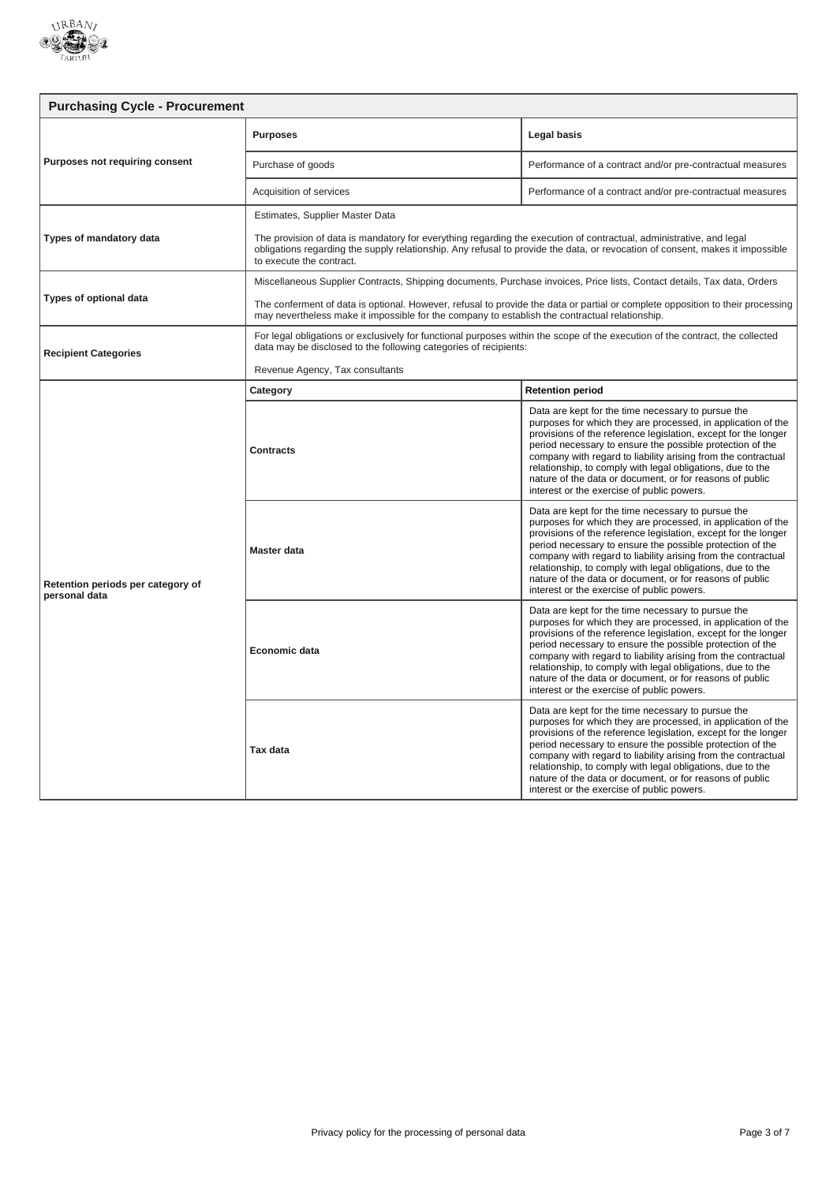

| <b>Purchasing Cycle - Procurement</b>              |                                                                                                                                                                                                                                                                                                                     |                                                                                                                                                                                                                                                                                                                                                                                                                                                                                            |
|----------------------------------------------------|---------------------------------------------------------------------------------------------------------------------------------------------------------------------------------------------------------------------------------------------------------------------------------------------------------------------|--------------------------------------------------------------------------------------------------------------------------------------------------------------------------------------------------------------------------------------------------------------------------------------------------------------------------------------------------------------------------------------------------------------------------------------------------------------------------------------------|
| Purposes not requiring consent                     | <b>Purposes</b>                                                                                                                                                                                                                                                                                                     | Legal basis                                                                                                                                                                                                                                                                                                                                                                                                                                                                                |
|                                                    | Purchase of goods                                                                                                                                                                                                                                                                                                   | Performance of a contract and/or pre-contractual measures                                                                                                                                                                                                                                                                                                                                                                                                                                  |
|                                                    | Acquisition of services                                                                                                                                                                                                                                                                                             | Performance of a contract and/or pre-contractual measures                                                                                                                                                                                                                                                                                                                                                                                                                                  |
| Types of mandatory data                            | Estimates, Supplier Master Data<br>The provision of data is mandatory for everything regarding the execution of contractual, administrative, and legal<br>obligations regarding the supply relationship. Any refusal to provide the data, or revocation of consent, makes it impossible<br>to execute the contract. |                                                                                                                                                                                                                                                                                                                                                                                                                                                                                            |
|                                                    | Miscellaneous Supplier Contracts, Shipping documents, Purchase invoices, Price lists, Contact details, Tax data, Orders                                                                                                                                                                                             |                                                                                                                                                                                                                                                                                                                                                                                                                                                                                            |
| Types of optional data                             | The conferment of data is optional. However, refusal to provide the data or partial or complete opposition to their processing<br>may nevertheless make it impossible for the company to establish the contractual relationship.                                                                                    |                                                                                                                                                                                                                                                                                                                                                                                                                                                                                            |
| <b>Recipient Categories</b>                        | For legal obligations or exclusively for functional purposes within the scope of the execution of the contract, the collected<br>data may be disclosed to the following categories of recipients:                                                                                                                   |                                                                                                                                                                                                                                                                                                                                                                                                                                                                                            |
|                                                    | Revenue Agency, Tax consultants                                                                                                                                                                                                                                                                                     |                                                                                                                                                                                                                                                                                                                                                                                                                                                                                            |
|                                                    | Category                                                                                                                                                                                                                                                                                                            | <b>Retention period</b>                                                                                                                                                                                                                                                                                                                                                                                                                                                                    |
| Retention periods per category of<br>personal data | Contracts                                                                                                                                                                                                                                                                                                           | Data are kept for the time necessary to pursue the<br>purposes for which they are processed, in application of the<br>provisions of the reference legislation, except for the longer<br>period necessary to ensure the possible protection of the<br>company with regard to liability arising from the contractual<br>relationship, to comply with legal obligations, due to the<br>nature of the data or document, or for reasons of public<br>interest or the exercise of public powers. |
|                                                    | <b>Master data</b>                                                                                                                                                                                                                                                                                                  | Data are kept for the time necessary to pursue the<br>purposes for which they are processed, in application of the<br>provisions of the reference legislation, except for the longer<br>period necessary to ensure the possible protection of the<br>company with regard to liability arising from the contractual<br>relationship, to comply with legal obligations, due to the<br>nature of the data or document, or for reasons of public<br>interest or the exercise of public powers. |
|                                                    | Economic data                                                                                                                                                                                                                                                                                                       | Data are kept for the time necessary to pursue the<br>purposes for which they are processed, in application of the<br>provisions of the reference legislation, except for the longer<br>period necessary to ensure the possible protection of the<br>company with regard to liability arising from the contractual<br>relationship, to comply with legal obligations, due to the<br>nature of the data or document, or for reasons of public<br>interest or the exercise of public powers. |
|                                                    | Tax data                                                                                                                                                                                                                                                                                                            | Data are kept for the time necessary to pursue the<br>purposes for which they are processed, in application of the<br>provisions of the reference legislation, except for the longer<br>period necessary to ensure the possible protection of the<br>company with regard to liability arising from the contractual<br>relationship, to comply with legal obligations, due to the<br>nature of the data or document, or for reasons of public<br>interest or the exercise of public powers. |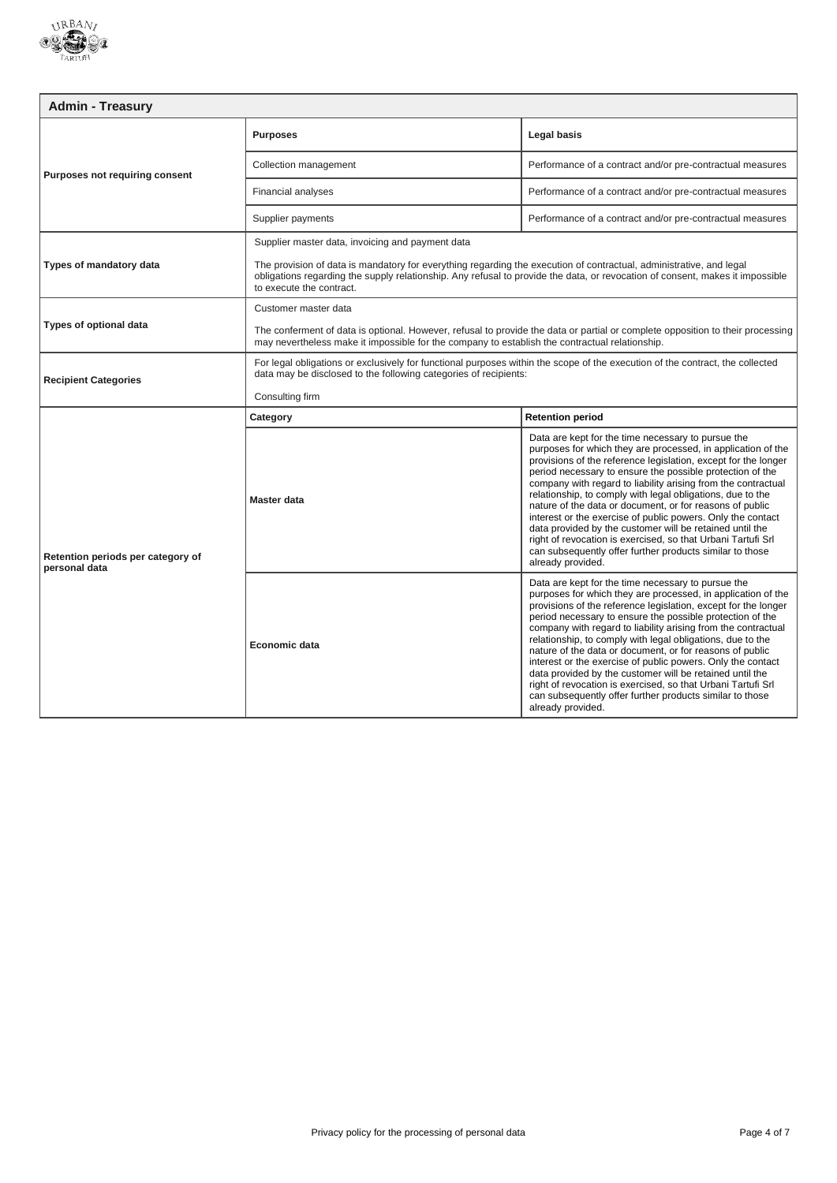

| <b>Admin - Treasury</b>           |                                                                                                                                                                                                                                                                                  |                                                                                                                                                                                                                                                                                                                                                                                                                                                                                                                                  |
|-----------------------------------|----------------------------------------------------------------------------------------------------------------------------------------------------------------------------------------------------------------------------------------------------------------------------------|----------------------------------------------------------------------------------------------------------------------------------------------------------------------------------------------------------------------------------------------------------------------------------------------------------------------------------------------------------------------------------------------------------------------------------------------------------------------------------------------------------------------------------|
| Purposes not requiring consent    | <b>Purposes</b>                                                                                                                                                                                                                                                                  | Legal basis                                                                                                                                                                                                                                                                                                                                                                                                                                                                                                                      |
|                                   | Collection management                                                                                                                                                                                                                                                            | Performance of a contract and/or pre-contractual measures                                                                                                                                                                                                                                                                                                                                                                                                                                                                        |
|                                   | Financial analyses                                                                                                                                                                                                                                                               | Performance of a contract and/or pre-contractual measures                                                                                                                                                                                                                                                                                                                                                                                                                                                                        |
|                                   | Supplier payments                                                                                                                                                                                                                                                                | Performance of a contract and/or pre-contractual measures                                                                                                                                                                                                                                                                                                                                                                                                                                                                        |
|                                   | Supplier master data, invoicing and payment data                                                                                                                                                                                                                                 |                                                                                                                                                                                                                                                                                                                                                                                                                                                                                                                                  |
| Types of mandatory data           | The provision of data is mandatory for everything regarding the execution of contractual, administrative, and legal<br>obligations regarding the supply relationship. Any refusal to provide the data, or revocation of consent, makes it impossible<br>to execute the contract. |                                                                                                                                                                                                                                                                                                                                                                                                                                                                                                                                  |
|                                   | Customer master data                                                                                                                                                                                                                                                             |                                                                                                                                                                                                                                                                                                                                                                                                                                                                                                                                  |
| <b>Types of optional data</b>     | The conferment of data is optional. However, refusal to provide the data or partial or complete opposition to their processing<br>may nevertheless make it impossible for the company to establish the contractual relationship.                                                 |                                                                                                                                                                                                                                                                                                                                                                                                                                                                                                                                  |
| <b>Recipient Categories</b>       | For legal obligations or exclusively for functional purposes within the scope of the execution of the contract, the collected<br>data may be disclosed to the following categories of recipients:                                                                                |                                                                                                                                                                                                                                                                                                                                                                                                                                                                                                                                  |
|                                   | Consulting firm                                                                                                                                                                                                                                                                  |                                                                                                                                                                                                                                                                                                                                                                                                                                                                                                                                  |
| Retention periods per category of | Category                                                                                                                                                                                                                                                                         | <b>Retention period</b>                                                                                                                                                                                                                                                                                                                                                                                                                                                                                                          |
|                                   |                                                                                                                                                                                                                                                                                  | Data are kept for the time necessary to pursue the<br>purposes for which they are processed, in application of the<br>provisions of the reference legislation, except for the longer                                                                                                                                                                                                                                                                                                                                             |
| personal data                     | Master data                                                                                                                                                                                                                                                                      | period necessary to ensure the possible protection of the<br>company with regard to liability arising from the contractual<br>relationship, to comply with legal obligations, due to the<br>nature of the data or document, or for reasons of public<br>interest or the exercise of public powers. Only the contact<br>data provided by the customer will be retained until the<br>right of revocation is exercised, so that Urbani Tartufi Srl<br>can subsequently offer further products similar to those<br>already provided. |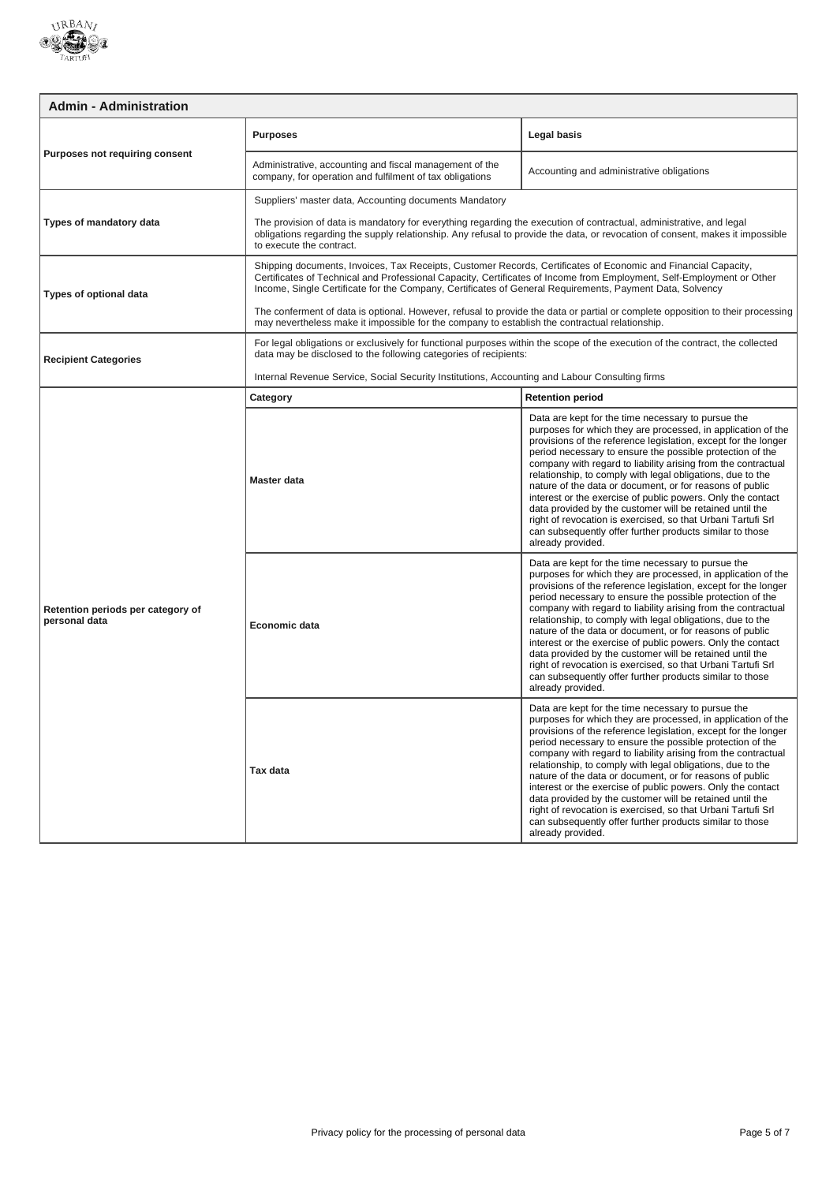

| <b>Admin - Administration</b>                      |                                                                                                                                                                                                                                                                                                                                                     |                                                                                                                                                                                                                                                                                                                                                                                                                                                                                                                                                                                                                                                                                                                          |
|----------------------------------------------------|-----------------------------------------------------------------------------------------------------------------------------------------------------------------------------------------------------------------------------------------------------------------------------------------------------------------------------------------------------|--------------------------------------------------------------------------------------------------------------------------------------------------------------------------------------------------------------------------------------------------------------------------------------------------------------------------------------------------------------------------------------------------------------------------------------------------------------------------------------------------------------------------------------------------------------------------------------------------------------------------------------------------------------------------------------------------------------------------|
| Purposes not requiring consent                     | <b>Purposes</b>                                                                                                                                                                                                                                                                                                                                     | Legal basis                                                                                                                                                                                                                                                                                                                                                                                                                                                                                                                                                                                                                                                                                                              |
|                                                    | Administrative, accounting and fiscal management of the<br>company, for operation and fulfilment of tax obligations                                                                                                                                                                                                                                 | Accounting and administrative obligations                                                                                                                                                                                                                                                                                                                                                                                                                                                                                                                                                                                                                                                                                |
|                                                    | Suppliers' master data, Accounting documents Mandatory                                                                                                                                                                                                                                                                                              |                                                                                                                                                                                                                                                                                                                                                                                                                                                                                                                                                                                                                                                                                                                          |
| Types of mandatory data                            | The provision of data is mandatory for everything regarding the execution of contractual, administrative, and legal<br>obligations regarding the supply relationship. Any refusal to provide the data, or revocation of consent, makes it impossible<br>to execute the contract.                                                                    |                                                                                                                                                                                                                                                                                                                                                                                                                                                                                                                                                                                                                                                                                                                          |
| <b>Types of optional data</b>                      | Shipping documents, Invoices, Tax Receipts, Customer Records, Certificates of Economic and Financial Capacity,<br>Certificates of Technical and Professional Capacity, Certificates of Income from Employment, Self-Employment or Other<br>Income, Single Certificate for the Company, Certificates of General Requirements, Payment Data, Solvency |                                                                                                                                                                                                                                                                                                                                                                                                                                                                                                                                                                                                                                                                                                                          |
|                                                    | The conferment of data is optional. However, refusal to provide the data or partial or complete opposition to their processing<br>may nevertheless make it impossible for the company to establish the contractual relationship.                                                                                                                    |                                                                                                                                                                                                                                                                                                                                                                                                                                                                                                                                                                                                                                                                                                                          |
| <b>Recipient Categories</b>                        | For legal obligations or exclusively for functional purposes within the scope of the execution of the contract, the collected<br>data may be disclosed to the following categories of recipients:                                                                                                                                                   |                                                                                                                                                                                                                                                                                                                                                                                                                                                                                                                                                                                                                                                                                                                          |
|                                                    | Internal Revenue Service, Social Security Institutions, Accounting and Labour Consulting firms                                                                                                                                                                                                                                                      |                                                                                                                                                                                                                                                                                                                                                                                                                                                                                                                                                                                                                                                                                                                          |
|                                                    | Category                                                                                                                                                                                                                                                                                                                                            | <b>Retention period</b>                                                                                                                                                                                                                                                                                                                                                                                                                                                                                                                                                                                                                                                                                                  |
| Retention periods per category of<br>personal data | Master data                                                                                                                                                                                                                                                                                                                                         | Data are kept for the time necessary to pursue the<br>purposes for which they are processed, in application of the<br>provisions of the reference legislation, except for the longer<br>period necessary to ensure the possible protection of the<br>company with regard to liability arising from the contractual<br>relationship, to comply with legal obligations, due to the<br>nature of the data or document, or for reasons of public<br>interest or the exercise of public powers. Only the contact<br>data provided by the customer will be retained until the<br>right of revocation is exercised, so that Urbani Tartufi Srl<br>can subsequently offer further products similar to those<br>already provided. |
|                                                    | Economic data                                                                                                                                                                                                                                                                                                                                       | Data are kept for the time necessary to pursue the<br>purposes for which they are processed, in application of the<br>provisions of the reference legislation, except for the longer<br>period necessary to ensure the possible protection of the<br>company with regard to liability arising from the contractual<br>relationship, to comply with legal obligations, due to the<br>nature of the data or document, or for reasons of public<br>interest or the exercise of public powers. Only the contact<br>data provided by the customer will be retained until the<br>right of revocation is exercised, so that Urbani Tartufi Srl<br>can subsequently offer further products similar to those<br>already provided. |
|                                                    | Tax data                                                                                                                                                                                                                                                                                                                                            | Data are kept for the time necessary to pursue the<br>purposes for which they are processed, in application of the<br>provisions of the reference legislation, except for the longer<br>period necessary to ensure the possible protection of the<br>company with regard to liability arising from the contractual<br>relationship, to comply with legal obligations, due to the<br>nature of the data or document, or for reasons of public<br>interest or the exercise of public powers. Only the contact<br>data provided by the customer will be retained until the<br>right of revocation is exercised, so that Urbani Tartufi Srl<br>can subsequently offer further products similar to those<br>already provided. |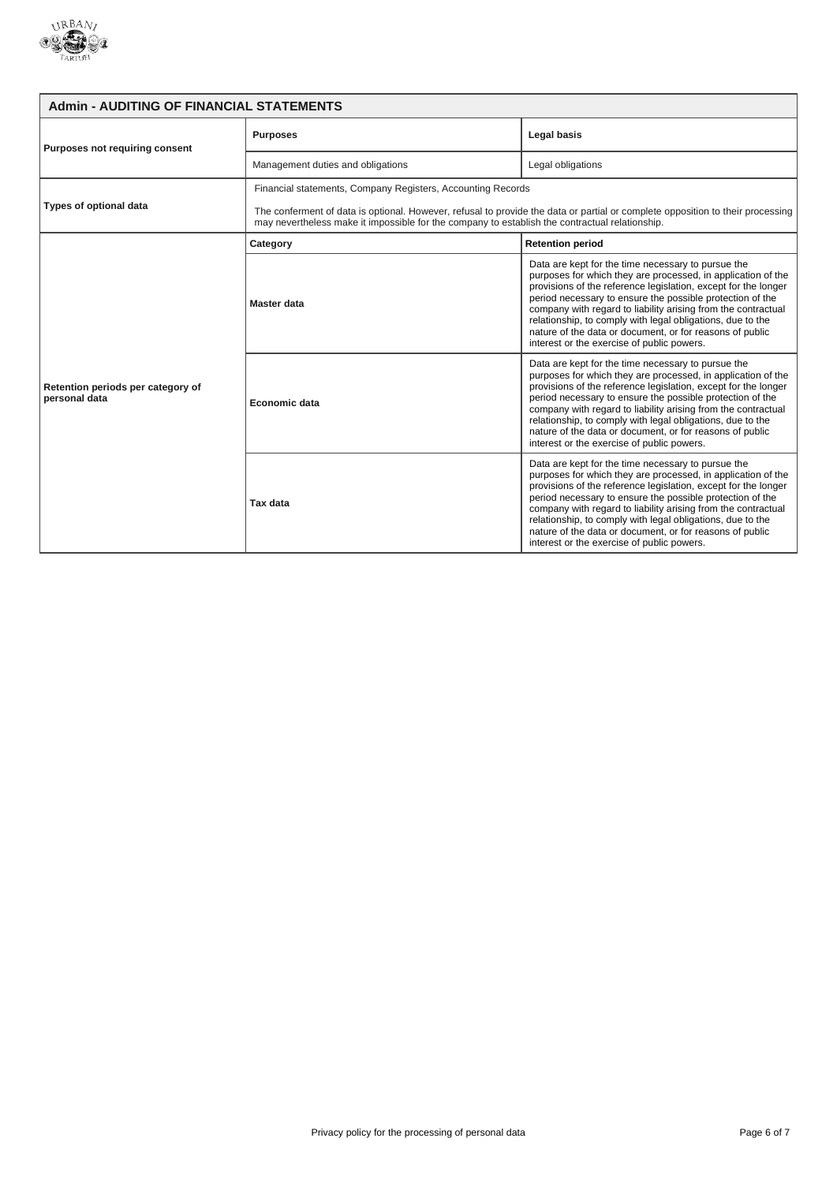

| <b>Admin - AUDITING OF FINANCIAL STATEMENTS</b>    |                                                                                                                                                                                                                                  |                                                                                                                                                                                                                                                                                                                                                                                                                                                                                            |
|----------------------------------------------------|----------------------------------------------------------------------------------------------------------------------------------------------------------------------------------------------------------------------------------|--------------------------------------------------------------------------------------------------------------------------------------------------------------------------------------------------------------------------------------------------------------------------------------------------------------------------------------------------------------------------------------------------------------------------------------------------------------------------------------------|
| Purposes not requiring consent                     | <b>Purposes</b>                                                                                                                                                                                                                  | Legal basis                                                                                                                                                                                                                                                                                                                                                                                                                                                                                |
|                                                    | Management duties and obligations                                                                                                                                                                                                | Legal obligations                                                                                                                                                                                                                                                                                                                                                                                                                                                                          |
| Types of optional data                             | Financial statements, Company Registers, Accounting Records                                                                                                                                                                      |                                                                                                                                                                                                                                                                                                                                                                                                                                                                                            |
|                                                    | The conferment of data is optional. However, refusal to provide the data or partial or complete opposition to their processing<br>may nevertheless make it impossible for the company to establish the contractual relationship. |                                                                                                                                                                                                                                                                                                                                                                                                                                                                                            |
|                                                    | Category                                                                                                                                                                                                                         | <b>Retention period</b>                                                                                                                                                                                                                                                                                                                                                                                                                                                                    |
| Retention periods per category of<br>personal data | Master data                                                                                                                                                                                                                      | Data are kept for the time necessary to pursue the<br>purposes for which they are processed, in application of the<br>provisions of the reference legislation, except for the longer<br>period necessary to ensure the possible protection of the<br>company with regard to liability arising from the contractual<br>relationship, to comply with legal obligations, due to the<br>nature of the data or document, or for reasons of public<br>interest or the exercise of public powers. |
|                                                    | Economic data                                                                                                                                                                                                                    | Data are kept for the time necessary to pursue the<br>purposes for which they are processed, in application of the<br>provisions of the reference legislation, except for the longer<br>period necessary to ensure the possible protection of the<br>company with regard to liability arising from the contractual<br>relationship, to comply with legal obligations, due to the<br>nature of the data or document, or for reasons of public<br>interest or the exercise of public powers. |
|                                                    | Tax data                                                                                                                                                                                                                         | Data are kept for the time necessary to pursue the<br>purposes for which they are processed, in application of the<br>provisions of the reference legislation, except for the longer<br>period necessary to ensure the possible protection of the<br>company with regard to liability arising from the contractual<br>relationship, to comply with legal obligations, due to the<br>nature of the data or document, or for reasons of public<br>interest or the exercise of public powers. |